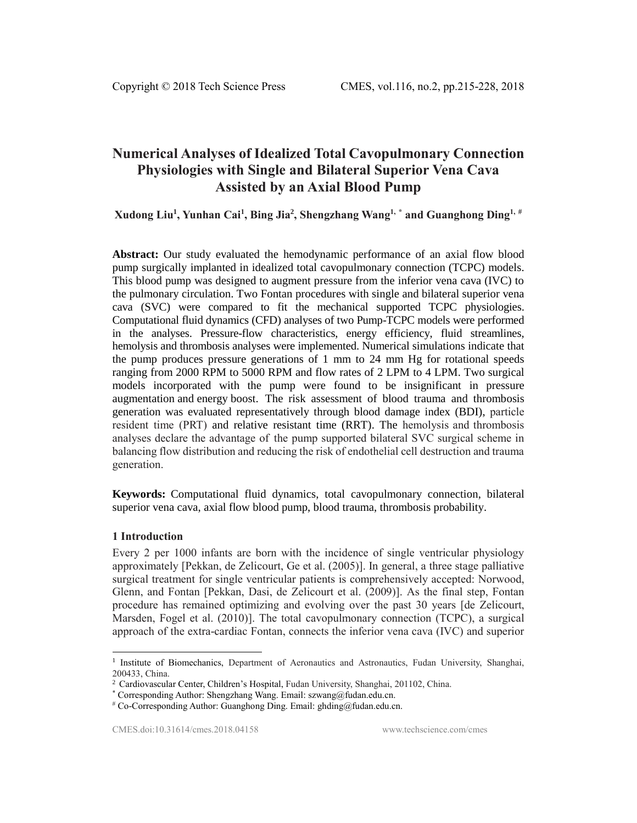# **Numerical Analyses of Idealized Total Cavopulmonary Connection Physiologies with Single and Bilateral Superior Vena Cava Assisted by an Axial Blood Pump**

**Xudong Liu<sup>1</sup> , Yunhan Cai<sup>1</sup> , Bing Jia<sup>2</sup> , Shengzhang Wang1, \* and Guanghong Ding1, #**

**Abstract:** Our study evaluated the hemodynamic performance of an axial flow blood pump surgically implanted in idealized total cavopulmonary connection (TCPC) models. This blood pump was designed to augment pressure from the inferior vena cava (IVC) to the pulmonary circulation. Two Fontan procedures with single and bilateral superior vena cava (SVC) were compared to fit the mechanical supported TCPC physiologies. Computational fluid dynamics (CFD) analyses of two Pump-TCPC models were performed in the analyses. Pressure-flow characteristics, energy efficiency, fluid streamlines, hemolysis and thrombosis analyses were implemented. Numerical simulations indicate that the pump produces pressure generations of 1 mm to 24 mm Hg for rotational speeds ranging from 2000 RPM to 5000 RPM and flow rates of 2 LPM to 4 LPM. Two surgical models incorporated with the pump were found to be insignificant in pressure augmentation and energy boost. The risk assessment of blood trauma and thrombosis generation was evaluated representatively through blood damage index (BDI), particle resident time (PRT) and relative resistant time (RRT). The hemolysis and thrombosis analyses declare the advantage of the pump supported bilateral SVC surgical scheme in balancing flow distribution and reducing the risk of endothelial cell destruction and trauma generation.

**Keywords:** Computational fluid dynamics, total cavopulmonary connection, bilateral superior vena cava, axial flow blood pump, blood trauma, thrombosis probability.

## **1 Introduction**

1

Every 2 per 1000 infants are born with the incidence of single ventricular physiology approximately [Pekkan, de Zelicourt, Ge et al. (2005)]. In general, a three stage palliative surgical treatment for single ventricular patients is comprehensively accepted: Norwood, Glenn, and Fontan [Pekkan, Dasi, de Zelicourt et al. (2009)]. As the final step, Fontan procedure has remained optimizing and evolving over the past 30 years [de Zelicourt, Marsden, Fogel et al. (2010)]. The total cavopulmonary connection (TCPC), a surgical approach of the extra-cardiac Fontan, connects the inferior vena cava (IVC) and superior

<sup>&</sup>lt;sup>1</sup> Institute of Biomechanics, Department of Aeronautics and Astronautics, Fudan University, Shanghai, 200433, China.

<sup>2</sup> Cardiovascular Center, Children's Hospital, Fudan University, Shanghai, 201102, China.

<sup>\*</sup> Corresponding Author: Shengzhang Wang. Email: szwang@fudan.edu.cn.

 $*$  Co-Corresponding Author: Guanghong Ding. Email: ghding@fudan.edu.cn.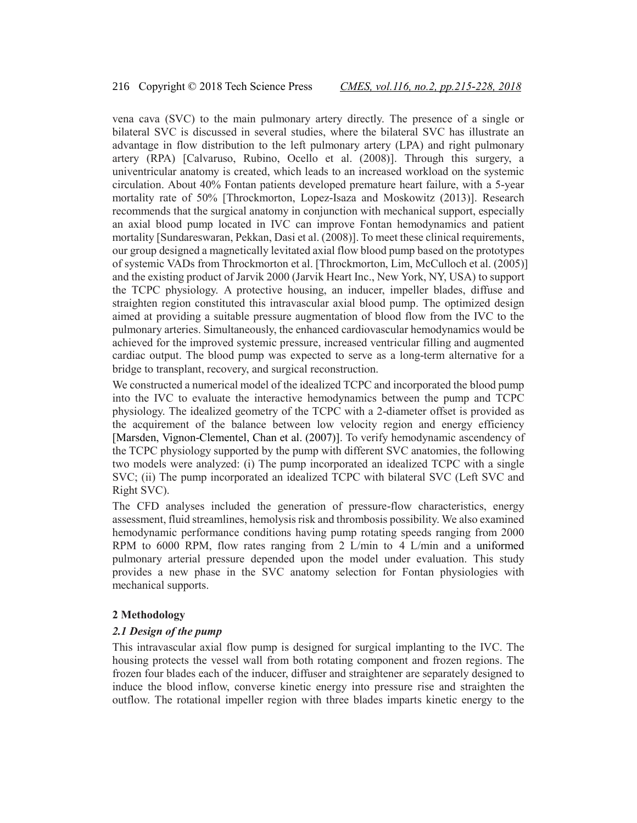vena cava (SVC) to the main pulmonary artery directly. The presence of a single or bilateral SVC is discussed in several studies, where the bilateral SVC has illustrate an advantage in flow distribution to the left pulmonary artery (LPA) and right pulmonary artery (RPA) [Calvaruso, Rubino, Ocello et al. (2008)]. Through this surgery, a univentricular anatomy is created, which leads to an increased workload on the systemic circulation. About 40% Fontan patients developed premature heart failure, with a 5-year mortality rate of 50% [Throckmorton, Lopez-Isaza and Moskowitz (2013)]. Research recommends that the surgical anatomy in conjunction with mechanical support, especially an axial blood pump located in IVC can improve Fontan hemodynamics and patient mortality [Sundareswaran, Pekkan, Dasi et al. (2008)]. To meet these clinical requirements, our group designed a magnetically levitated axial flow blood pump based on the prototypes of systemic VADs from Throckmorton et al. [Throckmorton, Lim, McCulloch et al. (2005)] and the existing product of Jarvik 2000 (Jarvik Heart Inc., New York, NY, USA) to support the TCPC physiology. A protective housing, an inducer, impeller blades, diffuse and straighten region constituted this intravascular axial blood pump. The optimized design aimed at providing a suitable pressure augmentation of blood flow from the IVC to the pulmonary arteries. Simultaneously, the enhanced cardiovascular hemodynamics would be achieved for the improved systemic pressure, increased ventricular filling and augmented cardiac output. The blood pump was expected to serve as a long-term alternative for a bridge to transplant, recovery, and surgical reconstruction.

We constructed a numerical model of the idealized TCPC and incorporated the blood pump into the IVC to evaluate the interactive hemodynamics between the pump and TCPC physiology. The idealized geometry of the TCPC with a 2-diameter offset is provided as the acquirement of the balance between low velocity region and energy efficiency [Marsden, Vignon-Clementel, Chan et al. (2007)]. To verify hemodynamic ascendency of the TCPC physiology supported by the pump with different SVC anatomies, the following two models were analyzed: (i) The pump incorporated an idealized TCPC with a single SVC; (ii) The pump incorporated an idealized TCPC with bilateral SVC (Left SVC and Right SVC).

The CFD analyses included the generation of pressure-flow characteristics, energy assessment, fluid streamlines, hemolysis risk and thrombosis possibility. We also examined hemodynamic performance conditions having pump rotating speeds ranging from 2000 RPM to 6000 RPM, flow rates ranging from 2 L/min to 4 L/min and a uniformed pulmonary arterial pressure depended upon the model under evaluation. This study provides a new phase in the SVC anatomy selection for Fontan physiologies with mechanical supports.

## **2 Methodology**

#### *2.1 Design of the pump*

This intravascular axial flow pump is designed for surgical implanting to the IVC. The housing protects the vessel wall from both rotating component and frozen regions. The frozen four blades each of the inducer, diffuser and straightener are separately designed to induce the blood inflow, converse kinetic energy into pressure rise and straighten the outflow. The rotational impeller region with three blades imparts kinetic energy to the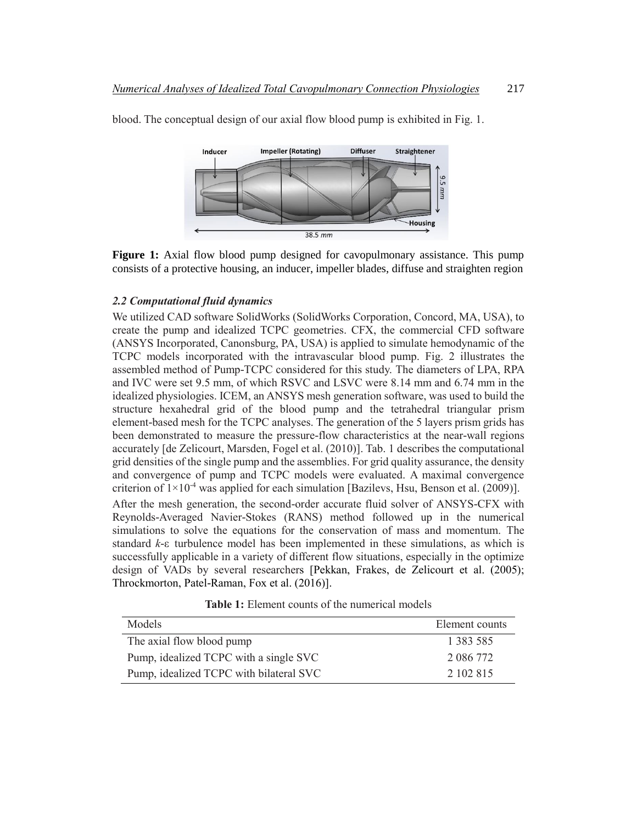

blood. The conceptual design of our axial flow blood pump is exhibited in Fig. 1.

**Figure 1:** Axial flow blood pump designed for cavopulmonary assistance. This pump consists of a protective housing, an inducer, impeller blades, diffuse and straighten region

## *2.2 Computational fluid dynamics*

We utilized CAD software SolidWorks (SolidWorks Corporation, Concord, MA, USA), to create the pump and idealized TCPC geometries. CFX, the commercial CFD software (ANSYS Incorporated, Canonsburg, PA, USA) is applied to simulate hemodynamic of the TCPC models incorporated with the intravascular blood pump. Fig. 2 illustrates the assembled method of Pump-TCPC considered for this study. The diameters of LPA, RPA and IVC were set 9.5 mm, of which RSVC and LSVC were 8.14 mm and 6.74 mm in the idealized physiologies. ICEM, an ANSYS mesh generation software, was used to build the structure hexahedral grid of the blood pump and the tetrahedral triangular prism element-based mesh for the TCPC analyses. The generation of the 5 layers prism grids has been demonstrated to measure the pressure-flow characteristics at the near-wall regions accurately [de Zelicourt, Marsden, Fogel et al. (2010)]. Tab. 1 describes the computational grid densities of the single pump and the assemblies. For grid quality assurance, the density and convergence of pump and TCPC models were evaluated. A maximal convergence criterion of  $1\times10^{-4}$  was applied for each simulation [Bazilevs, Hsu, Benson et al. (2009)]. After the mesh generation, the second-order accurate fluid solver of ANSYS-CFX with Reynolds-Averaged Navier-Stokes (RANS) method followed up in the numerical simulations to solve the equations for the conservation of mass and momentum. The

standard *k*-ε turbulence model has been implemented in these simulations, as which is successfully applicable in a variety of different flow situations, especially in the optimize design of VADs by several researchers [Pekkan, Frakes, de Zelicourt et al. (2005); Throckmorton, Patel-Raman, Fox et al. (2016)].

**Table 1:** Element counts of the numerical models

| Models                                  | Element counts |
|-----------------------------------------|----------------|
| The axial flow blood pump               | 1 383 585      |
| Pump, idealized TCPC with a single SVC  | 2 086 772      |
| Pump, idealized TCPC with bilateral SVC | 2 102 815      |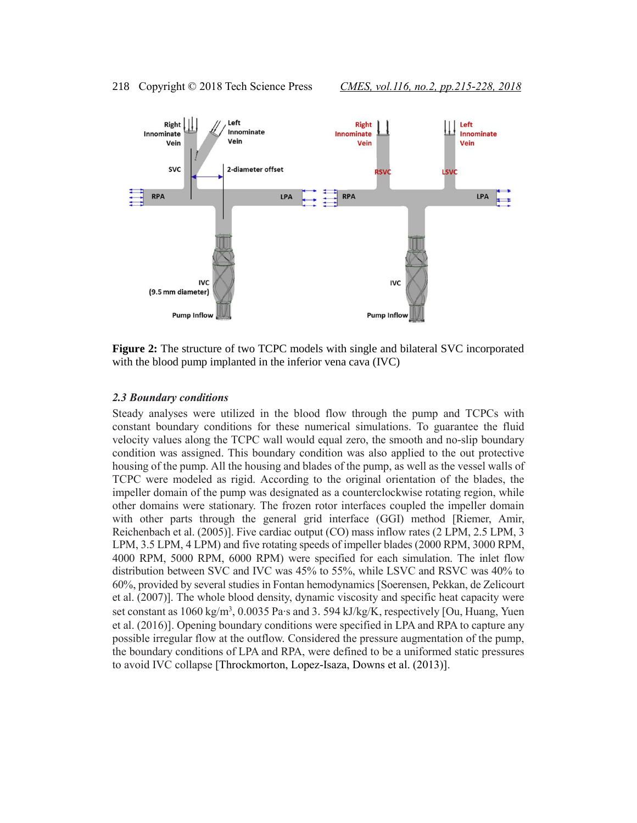

**Figure 2:** The structure of two TCPC models with single and bilateral SVC incorporated with the blood pump implanted in the inferior vena cava (IVC)

#### *2.3 Boundary conditions*

Steady analyses were utilized in the blood flow through the pump and TCPCs with constant boundary conditions for these numerical simulations. To guarantee the fluid velocity values along the TCPC wall would equal zero, the smooth and no-slip boundary condition was assigned. This boundary condition was also applied to the out protective housing of the pump. All the housing and blades of the pump, as well as the vessel walls of TCPC were modeled as rigid. According to the original orientation of the blades, the impeller domain of the pump was designated as a counterclockwise rotating region, while other domains were stationary. The frozen rotor interfaces coupled the impeller domain with other parts through the general grid interface (GGI) method [Riemer, Amir, Reichenbach et al. (2005)]. Five cardiac output (CO) mass inflow rates (2 LPM, 2.5 LPM, 3 LPM, 3.5 LPM, 4 LPM) and five rotating speeds of impeller blades (2000 RPM, 3000 RPM, 4000 RPM, 5000 RPM, 6000 RPM) were specified for each simulation. The inlet flow distribution between SVC and IVC was 45% to 55%, while LSVC and RSVC was 40% to 60%, provided by several studies in Fontan hemodynamics [Soerensen, Pekkan, de Zelicourt et al. (2007)]. The whole blood density, dynamic viscosity and specific heat capacity were set constant as 1060 kg/m<sup>3</sup>, 0.0035 Pa∙s and 3.594 kJ/kg/K, respectively [Ou, Huang, Yuen et al. (2016)]. Opening boundary conditions were specified in LPA and RPA to capture any possible irregular flow at the outflow. Considered the pressure augmentation of the pump, the boundary conditions of LPA and RPA, were defined to be a uniformed static pressures to avoid IVC collapse [Throckmorton, Lopez-Isaza, Downs et al. (2013)].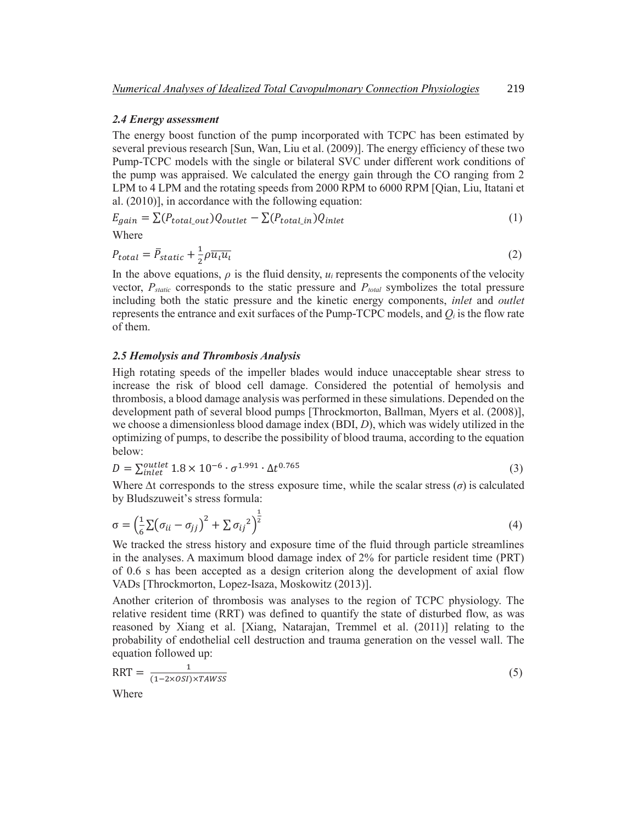#### *2.4 Energy assessment*

The energy boost function of the pump incorporated with TCPC has been estimated by several previous research [Sun, Wan, Liu et al. (2009)]. The energy efficiency of these two Pump-TCPC models with the single or bilateral SVC under different work conditions of the pump was appraised. We calculated the energy gain through the CO ranging from 2 LPM to 4 LPM and the rotating speeds from 2000 RPM to 6000 RPM [Qian, Liu, Itatani et al. (2010)], in accordance with the following equation:

$$
E_{gain} = \sum (P_{total\_out})Q_{outlet} - \sum (P_{total\_in})Q_{inlet}
$$
\n(1)

Where

$$
P_{total} = \bar{P}_{static} + \frac{1}{2}\rho \overline{u_i u_i} \tag{2}
$$

In the above equations,  $\rho$  is the fluid density,  $u_i$  represents the components of the velocity vector, *Pstatic* corresponds to the static pressure and *Ptotal* symbolizes the total pressure including both the static pressure and the kinetic energy components, *inlet* and *outlet* represents the entrance and exit surfaces of the Pump-TCPC models, and *Q<sup>i</sup>* is the flow rate of them.

## *2.5 Hemolysis and Thrombosis Analysis*

High rotating speeds of the impeller blades would induce unacceptable shear stress to increase the risk of blood cell damage. Considered the potential of hemolysis and thrombosis, a blood damage analysis was performed in these simulations. Depended on the development path of several blood pumps [Throckmorton, Ballman, Myers et al. (2008)], we choose a dimensionless blood damage index (BDI, *D*), which was widely utilized in the optimizing of pumps, to describe the possibility of blood trauma, according to the equation below:

$$
D = \sum_{inlet}^{outlet} 1.8 \times 10^{-6} \cdot \sigma^{1.991} \cdot \Delta t^{0.765}
$$
 (3)

Where  $\Delta t$  corresponds to the stress exposure time, while the scalar stress ( $\sigma$ ) is calculated by Bludszuweit's stress formula:

$$
\sigma = \left(\frac{1}{6}\sum(\sigma_{ii} - \sigma_{jj})^2 + \sum \sigma_{ij}^2\right)^{\frac{1}{2}}
$$
\n(4)

We tracked the stress history and exposure time of the fluid through particle streamlines in the analyses. A maximum blood damage index of 2% for particle resident time (PRT) of 0.6 s has been accepted as a design criterion along the development of axial flow VADs [Throckmorton, Lopez-Isaza, Moskowitz (2013)].

Another criterion of thrombosis was analyses to the region of TCPC physiology. The relative resident time (RRT) was defined to quantify the state of disturbed flow, as was reasoned by Xiang et al. [Xiang, Natarajan, Tremmel et al. (2011)] relating to the probability of endothelial cell destruction and trauma generation on the vessel wall. The equation followed up:

$$
RRT = \frac{1}{(1 - 2 \times OSI) \times TAWSS}
$$
 (5)

Where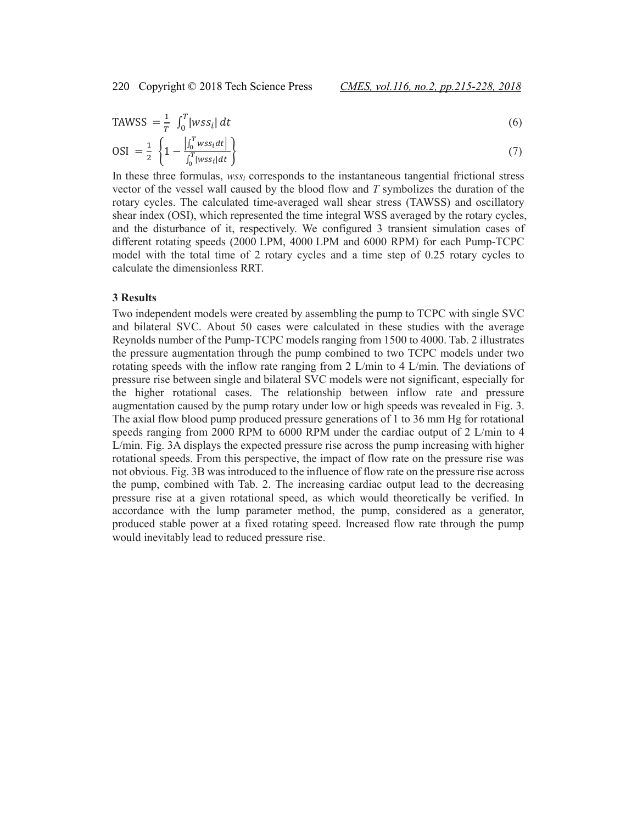$$
\text{TAWSS} = \frac{1}{T} \int_0^T |wss_i| \, dt \tag{6}
$$

$$
OSI = \frac{1}{2} \left\{ 1 - \frac{| \int_0^T w s s_i dt |}{\int_0^T |w s s_i| dt} \right\}
$$
 (7)

In these three formulas, *wss<sup>i</sup>* corresponds to the instantaneous tangential frictional stress vector of the vessel wall caused by the blood flow and *T* symbolizes the duration of the rotary cycles. The calculated time-averaged wall shear stress (TAWSS) and oscillatory shear index (OSI), which represented the time integral WSS averaged by the rotary cycles, and the disturbance of it, respectively. We configured 3 transient simulation cases of different rotating speeds (2000 LPM, 4000 LPM and 6000 RPM) for each Pump-TCPC model with the total time of 2 rotary cycles and a time step of 0.25 rotary cycles to calculate the dimensionless RRT.

#### **3 Results**

Two independent models were created by assembling the pump to TCPC with single SVC and bilateral SVC. About 50 cases were calculated in these studies with the average Reynolds number of the Pump-TCPC models ranging from 1500 to 4000. Tab. 2 illustrates the pressure augmentation through the pump combined to two TCPC models under two rotating speeds with the inflow rate ranging from 2 L/min to 4 L/min. The deviations of pressure rise between single and bilateral SVC models were not significant, especially for the higher rotational cases. The relationship between inflow rate and pressure augmentation caused by the pump rotary under low or high speeds was revealed in Fig. 3. The axial flow blood pump produced pressure generations of 1 to 36 mm Hg for rotational speeds ranging from 2000 RPM to 6000 RPM under the cardiac output of 2 L/min to 4 L/min. Fig. 3A displays the expected pressure rise across the pump increasing with higher rotational speeds. From this perspective, the impact of flow rate on the pressure rise was not obvious. Fig. 3B was introduced to the influence of flow rate on the pressure rise across the pump, combined with Tab. 2. The increasing cardiac output lead to the decreasing pressure rise at a given rotational speed, as which would theoretically be verified. In accordance with the lump parameter method, the pump, considered as a generator, produced stable power at a fixed rotating speed. Increased flow rate through the pump would inevitably lead to reduced pressure rise.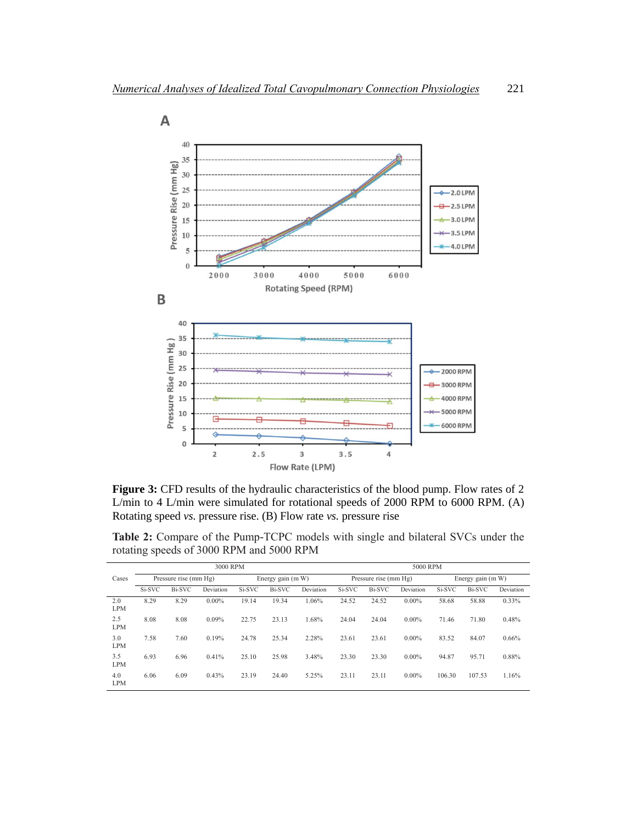

**Figure 3:** CFD results of the hydraulic characteristics of the blood pump. Flow rates of 2 L/min to 4 L/min were simulated for rotational speeds of 2000 RPM to 6000 RPM. (A) Rotating speed *vs.* pressure rise. (B) Flow rate *vs.* pressure rise

**Table 2:** Compare of the Pump-TCPC models with single and bilateral SVCs under the rotating speeds of 3000 RPM and 5000 RPM

|                   | 3000 RPM              |        |           |                   |        |           | 5000 RPM              |               |           |                     |        |           |
|-------------------|-----------------------|--------|-----------|-------------------|--------|-----------|-----------------------|---------------|-----------|---------------------|--------|-----------|
| Cases             | Pressure rise (mm Hg) |        |           | Energy gain (m W) |        |           | Pressure rise (mm Hg) |               |           | Energy gain $(m W)$ |        |           |
|                   | Si-SVC                | Bi-SVC | Deviation | Si-SVC            | Bi-SVC | Deviation | Si-SVC                | <b>Bi-SVC</b> | Deviation | Si-SVC              | Bi-SVC | Deviation |
| 2.0<br><b>LPM</b> | 8.29                  | 8.29   | $0.00\%$  | 19.14             | 19.34  | 1.06%     | 24.52                 | 24.52         | $0.00\%$  | 58.68               | 58.88  | 0.33%     |
| 2.5<br><b>LPM</b> | 8.08                  | 8.08   | 0.09%     | 22.75             | 23.13  | 1.68%     | 24.04                 | 24.04         | $0.00\%$  | 71.46               | 71.80  | 0.48%     |
| 3.0<br><b>LPM</b> | 7.58                  | 7.60   | 0.19%     | 24.78             | 25.34  | 2.28%     | 23.61                 | 23.61         | $0.00\%$  | 83.52               | 84.07  | 0.66%     |
| 3.5<br><b>LPM</b> | 6.93                  | 6.96   | 0.41%     | 25.10             | 25.98  | 3.48%     | 23.30                 | 23.30         | $0.00\%$  | 94.87               | 95.71  | 0.88%     |
| 4.0<br><b>LPM</b> | 6.06                  | 6.09   | 0.43%     | 23.19             | 24.40  | 5.25%     | 23.11                 | 23.11         | $0.00\%$  | 106.30              | 107.53 | 1.16%     |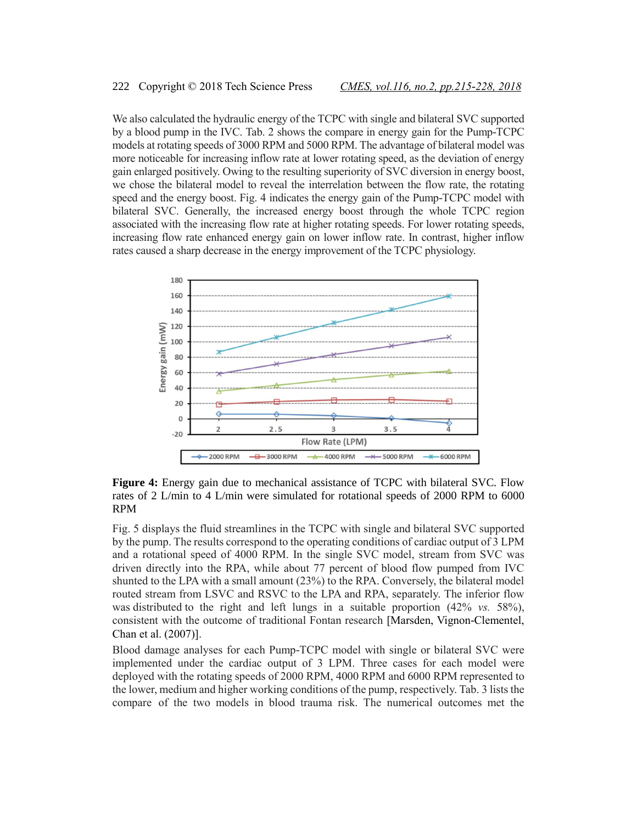We also calculated the hydraulic energy of the TCPC with single and bilateral SVC supported by a blood pump in the IVC. Tab. 2 shows the compare in energy gain for the Pump-TCPC models at rotating speeds of 3000 RPM and 5000 RPM. The advantage of bilateral model was more noticeable for increasing inflow rate at lower rotating speed, as the deviation of energy gain enlarged positively. Owing to the resulting superiority of SVC diversion in energy boost, we chose the bilateral model to reveal the interrelation between the flow rate, the rotating speed and the energy boost. Fig. 4 indicates the energy gain of the Pump-TCPC model with bilateral SVC. Generally, the increased energy boost through the whole TCPC region associated with the increasing flow rate at higher rotating speeds. For lower rotating speeds, increasing flow rate enhanced energy gain on lower inflow rate. In contrast, higher inflow rates caused a sharp decrease in the energy improvement of the TCPC physiology.



**Figure 4:** Energy gain due to mechanical assistance of TCPC with bilateral SVC. Flow rates of 2 L/min to 4 L/min were simulated for rotational speeds of 2000 RPM to 6000 RPM

Fig. 5 displays the fluid streamlines in the TCPC with single and bilateral SVC supported by the pump. The results correspond to the operating conditions of cardiac output of 3 LPM and a rotational speed of 4000 RPM. In the single SVC model, stream from SVC was driven directly into the RPA, while about 77 percent of blood flow pumped from IVC shunted to the LPA with a small amount (23%) to the RPA. Conversely, the bilateral model routed stream from LSVC and RSVC to the LPA and RPA, separately. The inferior flow was distributed to the right and left lungs in a suitable proportion (42% *vs.* 58%), consistent with the outcome of traditional Fontan research [Marsden, Vignon-Clementel, Chan et al. (2007)].

Blood damage analyses for each Pump-TCPC model with single or bilateral SVC were implemented under the cardiac output of 3 LPM. Three cases for each model were deployed with the rotating speeds of 2000 RPM, 4000 RPM and 6000 RPM represented to the lower, medium and higher working conditions of the pump, respectively. Tab. 3 lists the compare of the two models in blood trauma risk. The numerical outcomes met the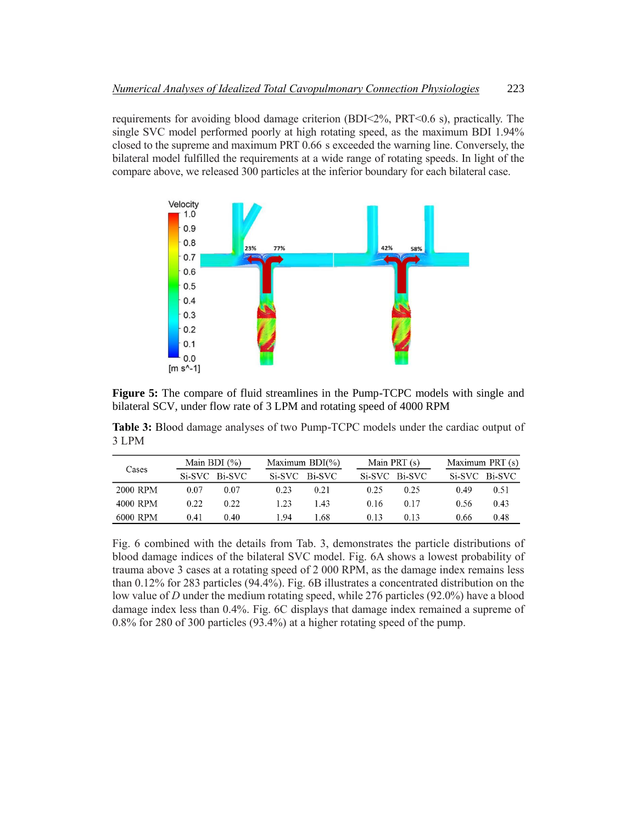requirements for avoiding blood damage criterion (BDI<2%, PRT<0.6 s), practically. The single SVC model performed poorly at high rotating speed, as the maximum BDI 1.94% closed to the supreme and maximum PRT 0.66 s exceeded the warning line. Conversely, the bilateral model fulfilled the requirements at a wide range of rotating speeds. In light of the compare above, we released 300 particles at the inferior boundary for each bilateral case.



**Figure 5:** The compare of fluid streamlines in the Pump-TCPC models with single and bilateral SCV, under flow rate of 3 LPM and rotating speed of 4000 RPM

**Table 3:** Blood damage analyses of two Pump-TCPC models under the cardiac output of 3 LPM

|          |      | Main BDI $(\%)$ |      | Maximum $BDI(\% )$ |      | Main PRT (s)  | Maximum PRT (s) |               |  |
|----------|------|-----------------|------|--------------------|------|---------------|-----------------|---------------|--|
| Cases    |      | Si-SVC Bi-SVC   |      | Si-SVC Bi-SVC      |      | Si-SVC Bi-SVC |                 | Si-SVC Bi-SVC |  |
| 2000 RPM | 0.07 | 0.07            | 0.23 | 0.21               | 0.25 | 0.25          | 0.49            | 0.51          |  |
| 4000 RPM | 0.22 | 0.22            | 1 23 | 143                | 0.16 | 0.17          | 0.56            | 0.43          |  |
| 6000 RPM | 0.41 | 0.40            | 194  | 1.68               | 0.13 | 0.13          | 0.66            | 0.48          |  |

Fig. 6 combined with the details from Tab. 3, demonstrates the particle distributions of blood damage indices of the bilateral SVC model. Fig. 6A shows a lowest probability of trauma above 3 cases at a rotating speed of 2 000 RPM, as the damage index remains less than 0.12% for 283 particles (94.4%). Fig. 6B illustrates a concentrated distribution on the low value of *D* under the medium rotating speed, while 276 particles (92.0%) have a blood damage index less than 0.4%. Fig. 6C displays that damage index remained a supreme of 0.8% for 280 of 300 particles (93.4%) at a higher rotating speed of the pump.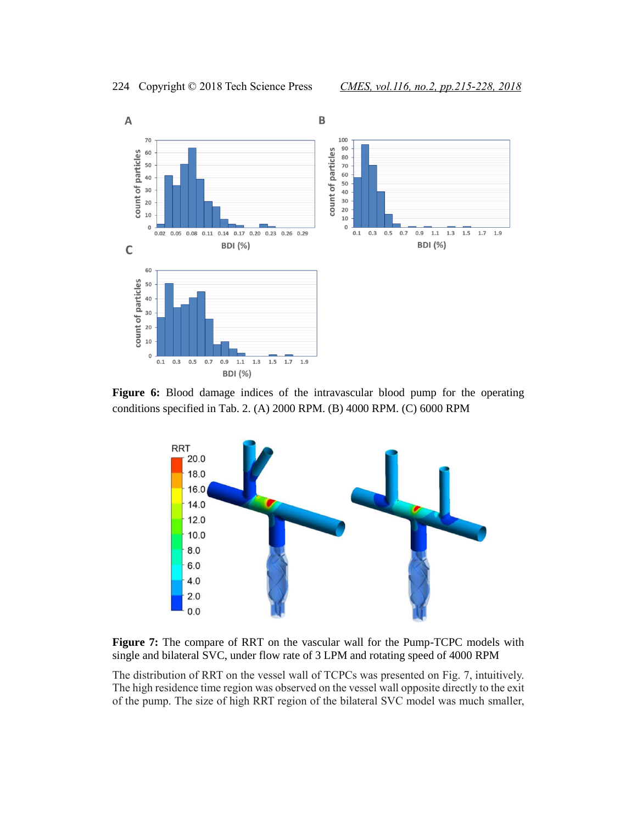

**Figure 6:** Blood damage indices of the intravascular blood pump for the operating conditions specified in Tab. 2. (A) 2000 RPM. (B) 4000 RPM. (C) 6000 RPM



**Figure 7:** The compare of RRT on the vascular wall for the Pump-TCPC models with single and bilateral SVC, under flow rate of 3 LPM and rotating speed of 4000 RPM

The distribution of RRT on the vessel wall of TCPCs was presented on Fig. 7, intuitively. The high residence time region was observed on the vessel wall opposite directly to the exit of the pump. The size of high RRT region of the bilateral SVC model was much smaller,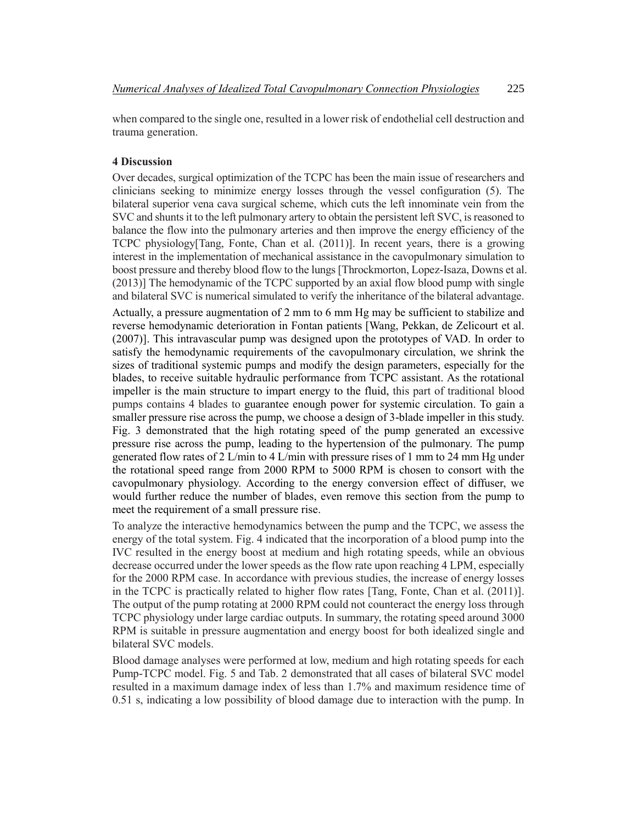when compared to the single one, resulted in a lower risk of endothelial cell destruction and trauma generation.

## **4 Discussion**

Over decades, surgical optimization of the TCPC has been the main issue of researchers and clinicians seeking to minimize energy losses through the vessel configuration (5). The bilateral superior vena cava surgical scheme, which cuts the left innominate vein from the SVC and shunts it to the left pulmonary artery to obtain the persistent left SVC, is reasoned to balance the flow into the pulmonary arteries and then improve the energy efficiency of the TCPC physiology[Tang, Fonte, Chan et al. (2011)]. In recent years, there is a growing interest in the implementation of mechanical assistance in the cavopulmonary simulation to boost pressure and thereby blood flow to the lungs [Throckmorton, Lopez-Isaza, Downs et al. (2013)] The hemodynamic of the TCPC supported by an axial flow blood pump with single and bilateral SVC is numerical simulated to verify the inheritance of the bilateral advantage.

Actually, a pressure augmentation of 2 mm to 6 mm Hg may be sufficient to stabilize and reverse hemodynamic deterioration in Fontan patients [Wang, Pekkan, de Zelicourt et al. (2007)]. This intravascular pump was designed upon the prototypes of VAD. In order to satisfy the hemodynamic requirements of the cavopulmonary circulation, we shrink the sizes of traditional systemic pumps and modify the design parameters, especially for the blades, to receive suitable hydraulic performance from TCPC assistant. As the rotational impeller is the main structure to impart energy to the fluid, this part of traditional blood pumps contains 4 blades to guarantee enough power for systemic circulation. To gain a smaller pressure rise across the pump, we choose a design of 3-blade impeller in this study. Fig. 3 demonstrated that the high rotating speed of the pump generated an excessive pressure rise across the pump, leading to the hypertension of the pulmonary. The pump generated flow rates of 2 L/min to 4 L/min with pressure rises of 1 mm to 24 mm Hg under the rotational speed range from 2000 RPM to 5000 RPM is chosen to consort with the cavopulmonary physiology. According to the energy conversion effect of diffuser, we would further reduce the number of blades, even remove this section from the pump to meet the requirement of a small pressure rise.

To analyze the interactive hemodynamics between the pump and the TCPC, we assess the energy of the total system. Fig. 4 indicated that the incorporation of a blood pump into the IVC resulted in the energy boost at medium and high rotating speeds, while an obvious decrease occurred under the lower speeds as the flow rate upon reaching 4 LPM, especially for the 2000 RPM case. In accordance with previous studies, the increase of energy losses in the TCPC is practically related to higher flow rates [Tang, Fonte, Chan et al. (2011)]. The output of the pump rotating at 2000 RPM could not counteract the energy loss through TCPC physiology under large cardiac outputs. In summary, the rotating speed around 3000 RPM is suitable in pressure augmentation and energy boost for both idealized single and bilateral SVC models.

Blood damage analyses were performed at low, medium and high rotating speeds for each Pump-TCPC model. Fig. 5 and Tab. 2 demonstrated that all cases of bilateral SVC model resulted in a maximum damage index of less than 1.7% and maximum residence time of 0.51 s, indicating a low possibility of blood damage due to interaction with the pump. In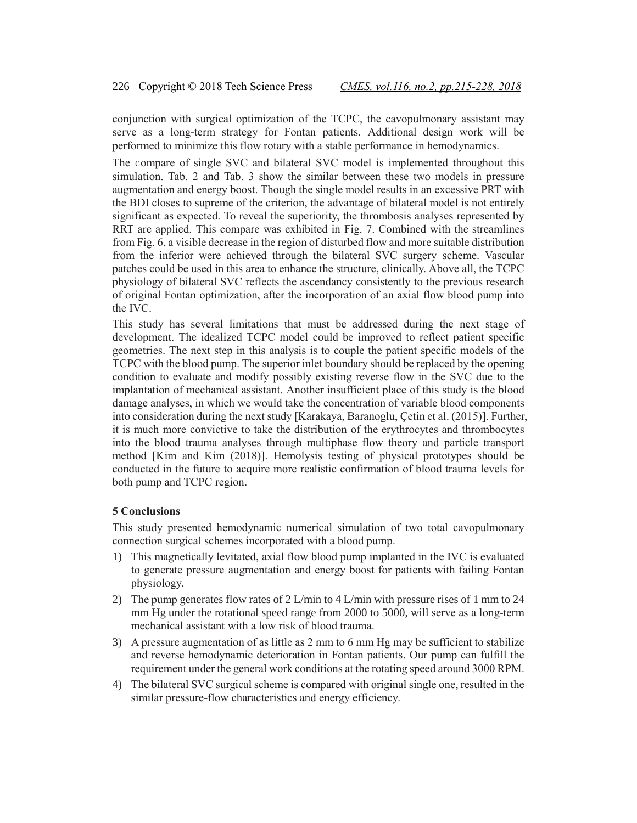conjunction with surgical optimization of the TCPC, the cavopulmonary assistant may serve as a long-term strategy for Fontan patients. Additional design work will be performed to minimize this flow rotary with a stable performance in hemodynamics.

The compare of single SVC and bilateral SVC model is implemented throughout this simulation. Tab. 2 and Tab. 3 show the similar between these two models in pressure augmentation and energy boost. Though the single model results in an excessive PRT with the BDI closes to supreme of the criterion, the advantage of bilateral model is not entirely significant as expected. To reveal the superiority, the thrombosis analyses represented by RRT are applied. This compare was exhibited in Fig. 7. Combined with the streamlines from Fig. 6, a visible decrease in the region of disturbed flow and more suitable distribution from the inferior were achieved through the bilateral SVC surgery scheme. Vascular patches could be used in this area to enhance the structure, clinically. Above all, the TCPC physiology of bilateral SVC reflects the ascendancy consistently to the previous research of original Fontan optimization, after the incorporation of an axial flow blood pump into the IVC.

This study has several limitations that must be addressed during the next stage of development. The idealized TCPC model could be improved to reflect patient specific geometries. The next step in this analysis is to couple the patient specific models of the TCPC with the blood pump. The superior inlet boundary should be replaced by the opening condition to evaluate and modify possibly existing reverse flow in the SVC due to the implantation of mechanical assistant. Another insufficient place of this study is the blood damage analyses, in which we would take the concentration of variable blood components into consideration during the next study [Karakaya, Baranoglu, Çetin et al. (2015)]. Further, it is much more convictive to take the distribution of the erythrocytes and thrombocytes into the blood trauma analyses through multiphase flow theory and particle transport method [Kim and Kim (2018)]. Hemolysis testing of physical prototypes should be conducted in the future to acquire more realistic confirmation of blood trauma levels for both pump and TCPC region.

## **5 Conclusions**

This study presented hemodynamic numerical simulation of two total cavopulmonary connection surgical schemes incorporated with a blood pump.

- 1) This magnetically levitated, axial flow blood pump implanted in the IVC is evaluated to generate pressure augmentation and energy boost for patients with failing Fontan physiology.
- 2) The pump generates flow rates of 2 L/min to 4 L/min with pressure rises of 1 mm to 24 mm Hg under the rotational speed range from 2000 to 5000, will serve as a long-term mechanical assistant with a low risk of blood trauma.
- 3) A pressure augmentation of as little as 2 mm to 6 mm Hg may be sufficient to stabilize and reverse hemodynamic deterioration in Fontan patients. Our pump can fulfill the requirement under the general work conditions at the rotating speed around 3000 RPM.
- 4) The bilateral SVC surgical scheme is compared with original single one, resulted in the similar pressure-flow characteristics and energy efficiency.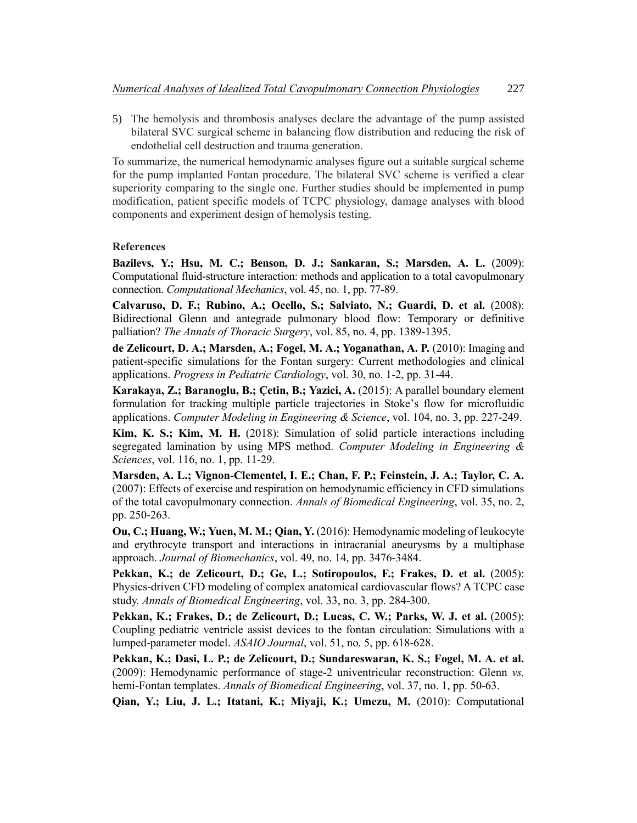5) The hemolysis and thrombosis analyses declare the advantage of the pump assisted bilateral SVC surgical scheme in balancing flow distribution and reducing the risk of endothelial cell destruction and trauma generation.

To summarize, the numerical hemodynamic analyses figure out a suitable surgical scheme for the pump implanted Fontan procedure. The bilateral SVC scheme is verified a clear superiority comparing to the single one. Further studies should be implemented in pump modification, patient specific models of TCPC physiology, damage analyses with blood components and experiment design of hemolysis testing.

## **References**

**Bazilevs, Y.; Hsu, M. C.; Benson, D. J.; Sankaran, S.; Marsden, A. L.** (2009): Computational fluid-structure interaction: methods and application to a total cavopulmonary connection. *Computational Mechanics*, vol. 45, no. 1, pp. 77-89.

**Calvaruso, D. F.; Rubino, A.; Ocello, S.; Salviato, N.; Guardi, D. et al.** (2008): Bidirectional Glenn and antegrade pulmonary blood flow: Temporary or definitive palliation? *The Annals of Thoracic Surgery*, vol. 85, no. 4, pp. 1389-1395.

**de Zelicourt, D. A.; Marsden, A.; Fogel, M. A.; Yoganathan, A. P.** (2010): Imaging and patient-specific simulations for the Fontan surgery: Current methodologies and clinical applications. *Progress in Pediatric Cardiology*, vol. 30, no. 1-2, pp. 31-44.

**Karakaya, Z.; Baranoglu, B.; Çetin, B.; Yazici, A.** (2015): A parallel boundary element formulation for tracking multiple particle trajectories in Stoke's flow for microfluidic applications. *Computer Modeling in Engineering & Science*, vol. 104, no. 3, pp. 227-249.

**Kim, K. S.; Kim, M. H.** (2018): Simulation of solid particle interactions including segregated lamination by using MPS method. *Computer Modeling in Engineering & Sciences*, vol. 116, no. 1, pp. 11-29.

**Marsden, A. L.; Vignon-Clementel, I. E.; Chan, F. P.; Feinstein, J. A.; Taylor, C. A.** (2007): Effects of exercise and respiration on hemodynamic efficiency in CFD simulations of the total cavopulmonary connection. *Annals of Biomedical Engineering*, vol. 35, no. 2, pp. 250-263.

**Ou, C.; Huang, W.; Yuen, M. M.; Qian, Y.** (2016): Hemodynamic modeling of leukocyte and erythrocyte transport and interactions in intracranial aneurysms by a multiphase approach. *Journal of Biomechanics*, vol. 49, no. 14, pp. 3476-3484.

**Pekkan, K.; de Zelicourt, D.; Ge, L.; Sotiropoulos, F.; Frakes, D. et al.** (2005): Physics-driven CFD modeling of complex anatomical cardiovascular flows? A TCPC case study. *Annals of Biomedical Engineering*, vol. 33, no. 3, pp. 284-300.

**Pekkan, K.; Frakes, D.; de Zelicourt, D.; Lucas, C. W.; Parks, W. J. et al.** (2005): Coupling pediatric ventricle assist devices to the fontan circulation: Simulations with a lumped-parameter model. *ASAIO Journal*, vol. 51, no. 5, pp. 618-628.

**Pekkan, K.; Dasi, L. P.; de Zelicourt, D.; Sundareswaran, K. S.; Fogel, M. A. et al.** (2009): Hemodynamic performance of stage-2 univentricular reconstruction: Glenn *vs.* hemi-Fontan templates. *Annals of Biomedical Engineering*, vol. 37, no. 1, pp. 50-63.

**Qian, Y.; Liu, J. L.; Itatani, K.; Miyaji, K.; Umezu, M.** (2010): Computational